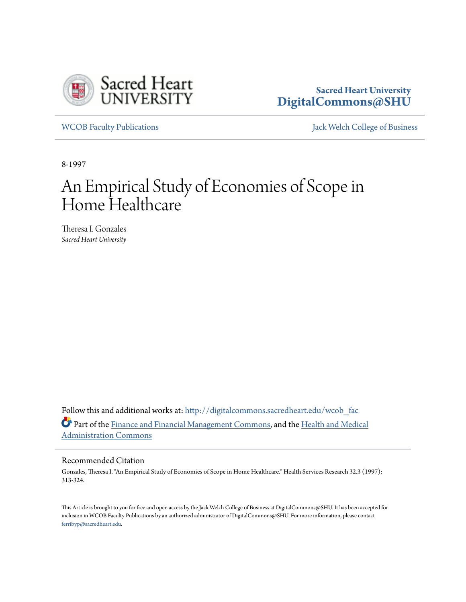

# **Sacred Heart University [DigitalCommons@SHU](http://digitalcommons.sacredheart.edu?utm_source=digitalcommons.sacredheart.edu%2Fwcob_fac%2F268&utm_medium=PDF&utm_campaign=PDFCoverPages)**

[WCOB Faculty Publications](http://digitalcommons.sacredheart.edu/wcob_fac?utm_source=digitalcommons.sacredheart.edu%2Fwcob_fac%2F268&utm_medium=PDF&utm_campaign=PDFCoverPages) **MECOB** Faculty Publications **Accord Publications** [Jack Welch College of Business](http://digitalcommons.sacredheart.edu/wcob?utm_source=digitalcommons.sacredheart.edu%2Fwcob_fac%2F268&utm_medium=PDF&utm_campaign=PDFCoverPages)

8-1997

# An Empirical Study of Economies of Scope in Home Healthcare

Theresa I. Gonzales *Sacred Heart University*

Follow this and additional works at: [http://digitalcommons.sacredheart.edu/wcob\\_fac](http://digitalcommons.sacredheart.edu/wcob_fac?utm_source=digitalcommons.sacredheart.edu%2Fwcob_fac%2F268&utm_medium=PDF&utm_campaign=PDFCoverPages) Part of the [Finance and Financial Management Commons](http://network.bepress.com/hgg/discipline/631?utm_source=digitalcommons.sacredheart.edu%2Fwcob_fac%2F268&utm_medium=PDF&utm_campaign=PDFCoverPages), and the [Health and Medical](http://network.bepress.com/hgg/discipline/663?utm_source=digitalcommons.sacredheart.edu%2Fwcob_fac%2F268&utm_medium=PDF&utm_campaign=PDFCoverPages) [Administration Commons](http://network.bepress.com/hgg/discipline/663?utm_source=digitalcommons.sacredheart.edu%2Fwcob_fac%2F268&utm_medium=PDF&utm_campaign=PDFCoverPages)

### Recommended Citation

Gonzales, Theresa I. "An Empirical Study of Economies of Scope in Home Healthcare." Health Services Research 32.3 (1997): 313-324.

This Article is brought to you for free and open access by the Jack Welch College of Business at DigitalCommons@SHU. It has been accepted for inclusion in WCOB Faculty Publications by an authorized administrator of DigitalCommons@SHU. For more information, please contact [ferribyp@sacredheart.edu](mailto:ferribyp@sacredheart.edu).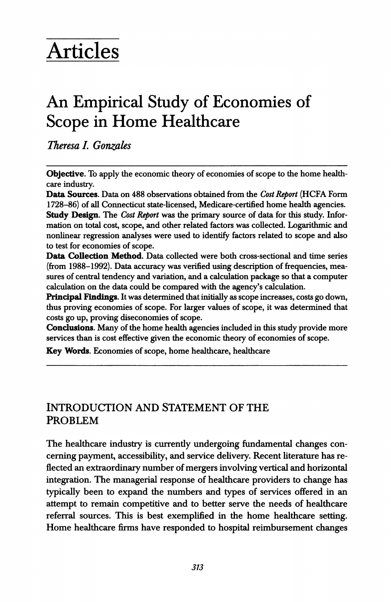# Articles

# An Empirical Study of Economies of Scope in Home Healthcare

Theresa L Gonzales

Objective. To apply the economic theory of economies of scope to the home healthcare industry.

Data Sources. Data on 488 observations obtained from the Cost Report (HCFA Form 1728-86) of all Connecticut state-licensed, Medicare-certified home health agencies. Study Design. The Cost Report was the primary source of data for this study. Information on total cost, scope, and other related factors was collected. Logarithmic and nonlinear regression analyses were used to identify factors related to scope and also to test for economies of scope.

Data Collection Method. Data collected were both cross-sectional and time series (from 1988-1992). Data accuracy was verified using description of frequencies, measures of central tendency and variation, and a calculation package so that a computer calculation on the data could be compared with the agency's calculation.

Principal Findings. It was determined that initially as scope increases, costs go down, thus proving economies of scope. For larger values of scope, it was determined that costs go up, proving diseconomies of scope.

Conclusions. Many of the home health agencies included in this study provide more services than is cost effective given the economic theory of economies of scope.

Key Words. Economies of scope, home healthcare, healthcare

# INTRODUCTION AND STATEMENT OF THE PROBLEM

The healthcare industry is currently undergoing fundamental changes concerning payment, accessibility, and service delivery. Recent literature has reflected an extraordinary number of mergers involving vertical and horizontal integration. The managerial response of healthcare providers to change has typically been to expand the numbers and types of services offered in an attempt to remain competitive and to better serve the needs of healthcare referral sources. This is best exemplified in the home healthcare setting. Home healthcare firms have responded to hospital reimbursement changes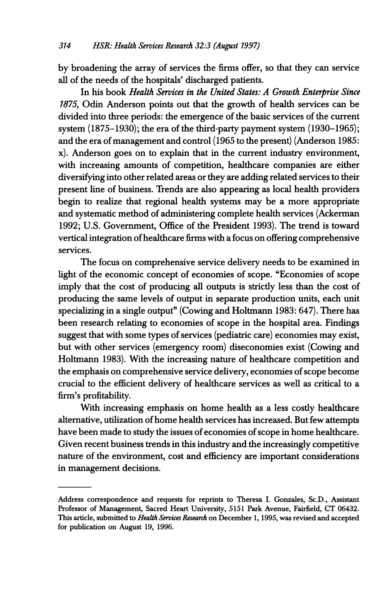by broadening the array of services the firms offer, so that they can service all of the needs of the hospitals' discharged patients.

In his book Health Services in the United States: A Growth Enterprise Since 1875, Odin Anderson points out that the growth of health services can be divided into three periods: the emergence of the basic services of the current system (1875-1930); the era of the third-party payment system (1930-1965); and the era of management and control (1965 to the present) (Anderson 1985: x). Anderson goes on to explain that in the current industry environment, with increasing amounts of competition, healthcare companies are either diversifying into other related areas or they are adding related services to their present line of business. Trends are also appearing as local health providers begin to realize that regional health systems may be a more appropriate and systematic method of administering complete health services (Ackerman 1992; U.S. Government, Office of the President 1993). The trend is toward vertical integration ofhealthcare firms with a focus on offering comprehensive services.

The focus on comprehensive service delivery needs to be examined in light of the economic concept of economies of scope. "Economies of scope imply that the cost of producing all outputs is strictly less than the cost of producing the same levels of output in separate production units, each unit specializing in a single output" (Cowing and Holtmann 1983: 647). There has been research relating to economies of scope in the hospital area. Findings suggest that with some types of services (pediatric care) economies may exist, but with other services (emergency room) diseconomies exist (Cowing and Holtmann 1983). With the increasing nature of healthcare competition and the emphasis on comprehensive service delivery, economies of scope become crucial to the efficient delivery of healthcare services as well as critical to a firm's profitability.

With increasing emphasis on home health as a less costly healthcare alternative, utilization of home health services has increased. But few attempts have been made to study the issues of economies of scope in home healthcare. Given recent business trends in this industry and the increasingly competitive nature of the environment, cost and efficiency are important considerations in management decisions.

Address correspondence and requests for reprints to Theresa I. Gonzales, Sc.D., Assistant Professor of Management, Sacred Heart University, 5151 Park Avenue, Fairfield, CT 06432. This article, submitted to Health Services Research on December 1, 1995, was revised and accepted for publication on August 19, 1996.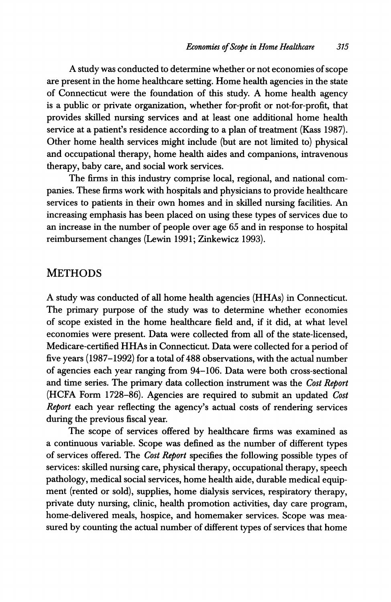A study was conducted to determine whether or not economies of scope are present in the home healthcare setting. Home health agencies in the state of Connecticut were the foundation of this study. A home health agency is a public or private organization, whether for-profit or not-for-profit, that provides skilled nursing services and at least one additional home health service at a patient's residence according to a plan of treatment (Kass 1987). Other home health services might include (but are not limited to) physical and occupational therapy, home health aides and companions, intravenous therapy, baby care, and social work services.

The firms in this industry comprise local, regional, and national companies. These firms work with hospitals and physicians to provide healthcare services to patients in their own homes and in skilled nursing facilities. An increasing emphasis has been placed on using these types of services due to an increase in the number of people over age 65 and in response to hospital reimbursement changes (Lewin 1991; Zinkewicz 1993).

# METHODS

A study was conducted of all home health agencies (HHAs) in Connecticut. The primary purpose of the study was to determine whether economies of scope existed in the home healthcare field and, if it did, at what level economies were present. Data were collected from all of the state-licensed, Medicare-certified HHAs in Connecticut. Data were collected for <sup>a</sup> period of five years (1987-1992) for a total of 488 observations, with the actual number of agencies each year ranging from 94-106. Data were both cross-sectional and time series. The primary data collection instrument was the Cost Report (HCFA Form 1728-86). Agencies are required to submit an updated Cost Report each year reflecting the agency's actual costs of rendering services during the previous fiscal year.

The scope of services offered by healthcare firms was examined as a continuous variable. Scope was defined as the number of different types of services offered. The Cost Report specifies the following possible types of services: skilled nursing care, physical therapy, occupational therapy, speech pathology, medical social services, home health aide, durable medical equipment (rented or sold), supplies, home dialysis services, respiratory therapy, private duty nursing, clinic, health promotion activities, day care program, home-delivered meals, hospice, and homemaker services. Scope was measured by counting the actual number of different types of services that home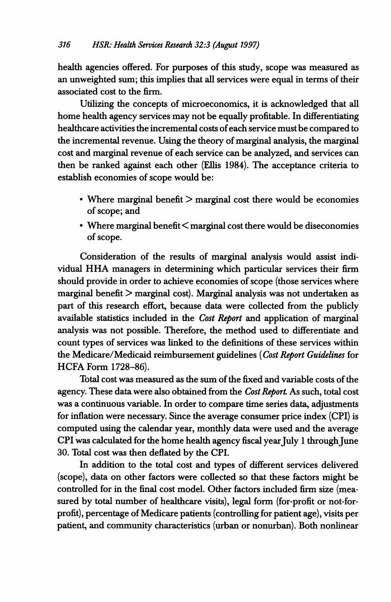health agencies offered. For purposes of this study, scope was measured as an unweighted sum; this implies that all services were equal in terms of their associated cost to the firm.

Utilizing the concepts of microeconomics, it is acknowledged that all home health agency services may not be equally profitable. In differentiating healthcare activities the incremental costs of each service must be compared to the incremental revenue. Using the theory of marginal analysis, the marginal cost and marginal revenue of each service can be analyzed, and services can then be ranked against each other (Ellis 1984). The acceptance criteria to establish economies of scope would be:

- \* Where marginal benefit > marginal cost there would be economies of scope; and
- $\cdot$  Where marginal benefit  $\leq$  marginal cost there would be diseconomies of scope.

Consideration of the results of marginal analysis would assist individual HHA managers in determining which particular services their firm should provide in order to achieve economies of scope (those services where marginal benefit  $>$  marginal cost). Marginal analysis was not undertaken as part of this research effort, because data were collected from the publicly available statistics included in the Cost Report and application of marginal analysis was not possible. Therefore, the method used to differentiate and count types of services was linked to the definitions of these services within the Medicare/Medicaid reimbursement guidelines (Cost Report Guidelines for HCFA Form 1728-86).

Total cost was measured as the sum of the fixed and variable costs of the agency. These data were also obtained from the Cost Report. As such, total cost was a continuous variable. In order to compare time series data, adjustments for inflation were necessary. Since the average consumer price index (CPI) is computed using the calendar year, monthly data were used and the average CPI was calculated for the home health agency fiscal year July 1 through June 30. Total cost was then deflated by the CPI.

In addition to the total cost and types of different services delivered (scope), data on other factors were collected so that these factors might be controlled for in the final cost model. Other factors included firm size (measured by total number of healthcare visits), legal form (for-profit or not-forprofit), percentage of Medicare patients (controlling for patient age), visits per patient, and community characteristics (urban or nonurban). Both nonlinear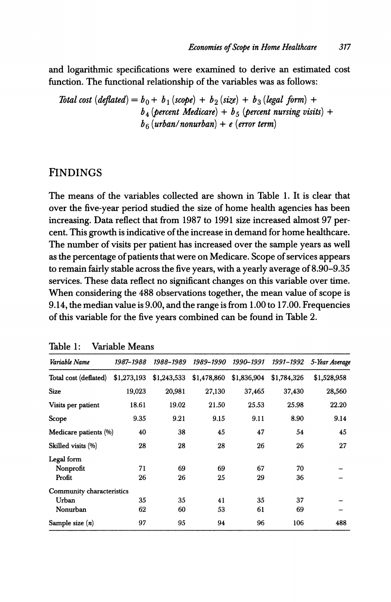and logarithmic specifications were examined to derive an estimated cost function. The functional relationship of the variables was as follows:

Total cost  $\text{deflated} = b_0 + b_1 \text{ (scope)} + b_2 \text{ (size)} + b_3 \text{ (legal form)} +$  $b_4$  (percent Medicare) +  $b_5$  (percent nursing visits) +  $b_6$  (urban/nonurban) + e (error term)

# FINDINGS

The means of the variables collected are shown in Table 1. It is clear that over the five-year period studied the size of home health agencies has been increasing. Data reflect that from 1987 to 1991 size increased almost 97 percent. This growth is indicative of the increase in demand for home healthcare. The number of visits per patient has increased over the sample years as well as the percentage of patients that were on Medicare. Scope of services appears to remain fairly stable across the five years, with a yearly average of 8.90-9.35 services. These data reflect no significant changes on this variable over time. When considering the 488 observations together, the mean value of scope is 9.14, the median value is 9.00, and the range is from 1.00 to 17.00. Frequencies of this variable for the five years combined can be found in Table 2.

| Variable Name             | 1987–1988   | 1988-1989   | 1989-1990   | 1990–1991   | 1991–1992   | 5-Year Average |
|---------------------------|-------------|-------------|-------------|-------------|-------------|----------------|
| Total cost (deflated)     | \$1,273,193 | \$1,243,533 | \$1,478,860 | \$1,836,904 | \$1,784,326 | \$1,528,958    |
| <b>Size</b>               | 19,023      | 20,981      | 27,130      | 37,465      | 37,430      | 28,560         |
| Visits per patient        | 18.61       | 19.02       | 21.50       | 25.53       | 25.98       | 22.20          |
| Scope                     | 9.35        | 9.21        | 9.15        | 9.11        | 8.90        | 9.14           |
| Medicare patients (%)     | 40          | 38          | 45          | 47          | 54          | 45             |
| Skilled visits (%)        | 28          | 28          | 28          | 26          | 26          | 27             |
| Legal form                |             |             |             |             |             |                |
| Nonprofit                 | 71          | 69          | 69          | 67          | 70          |                |
| Profit                    | 26          | 26          | 25          | 29          | 36          |                |
| Community characteristics |             |             |             |             |             |                |
| Urban                     | 35          | 35          | 41          | 35          | 37          |                |
| Nonurban                  | 62          | 60          | 53          | 61          | 69          |                |
| Sample size $(n)$         | 97          | 95          | 94          | 96          | 106         | 488            |

Table 1: Variable Means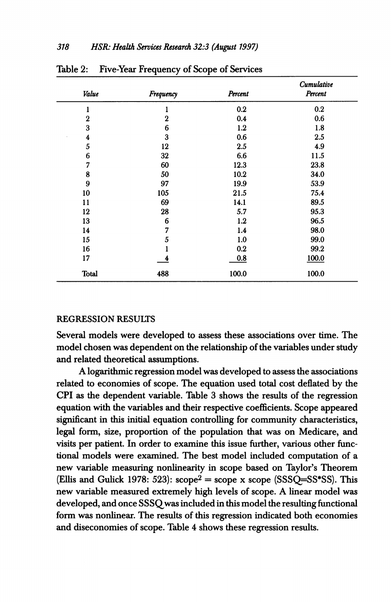| Value            | Frequency        | Percent | Cumulative<br>Percent |  |
|------------------|------------------|---------|-----------------------|--|
| 1                |                  | 0.2     | 0.2                   |  |
| $\boldsymbol{2}$ | $\boldsymbol{2}$ | 0.4     | 0.6                   |  |
| 3                | 6                | 1.2     | 1.8                   |  |
| 4                | 3                | 0.6     | 2.5                   |  |
| 5                | 12               | 2.5     | 4.9                   |  |
| 6                | 32               | 6.6     | 11.5                  |  |
| 7                | 60               | 12.3    | 23.8                  |  |
| 8                | 50               | 10.2    | 34.0                  |  |
| 9                | 97               | 19.9    | 53.9                  |  |
| 10               | 105              | 21.5    | 75.4                  |  |
| 11               | 69               | 14.1    | 89.5                  |  |
| 12               | 28               | 5.7     | 95.3                  |  |
| 13               | 6                | 1.2     | 96.5                  |  |
| 14               | 7                | 1.4     | 98.0                  |  |
| 15               | 5                | 1.0     | 99.0                  |  |
| 16               |                  | 0.2     | 99.2                  |  |
| 17               | 4                | 0.8     | 100.0                 |  |
| Total            | 488              | 100.0   | 100.0                 |  |

Table 2: Five-Year Frequency of Scope of Services

#### REGRESSION RESULTS

Several models were developed to assess these associations over time. The model chosen was dependent on the relationship of the variables under study and related theoretical assumptions.

Alogarithmic regression model was developed to assess the associations related to economies of scope. The equation used total cost deflated by the CPI as the dependent variable. Table 3 shows the results of the regression equation with the variables and their respective coefficients. Scope appeared significant in this initial equation controlling for community characteristics, legal form, size, proportion of the population that was on Medicare, and visits per patient. In order to examine this issue further, various other functional models were examined. The best model included computation of a new variable measuring nonlinearity in scope based on Taylor's Theorem (Ellis and Gulick 1978: 523):  $\text{scope}^2 = \text{scope} \times \text{scope}$  (SSSQ=SS\*SS). This new variable measured extremely high levels of scope. A linear model was developed, and once SSSQwas included in this model the resulting functional form was nonlinear. The results of this regression indicated both economies and diseconomies of scope. Table 4 shows these regression results.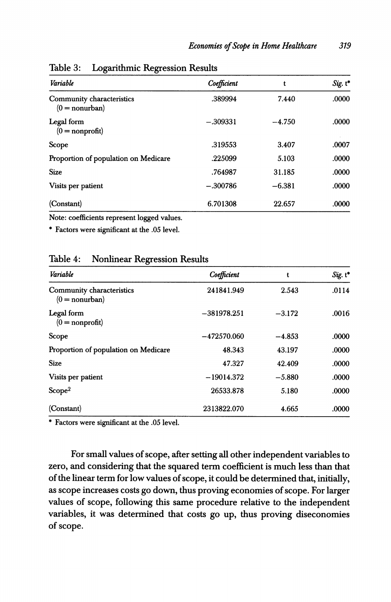| Variable                                      | Coefficient | t        | Sig. t* |
|-----------------------------------------------|-------------|----------|---------|
| Community characteristics<br>$(0 = nonurban)$ | .389994     | 7.440    | .0000   |
| Legal form<br>$(0 = nonprofit)$               | $-.309331$  | $-4.750$ | .0000   |
| Scope                                         | .319553     | 3.407    | .0007   |
| Proportion of population on Medicare          | .225099     | 5.103    | .0000   |
| <b>Size</b>                                   | .764987     | 31.185   | .0000   |
| Visits per patient                            | $-.300786$  | $-6.381$ | .0000   |
| (Constant)                                    | 6.701308    | 22.657   | .0000   |

Table 3: Logarithmic Regression Results

Note: coefficients represent logged values.

\* Factors were significant at the .05 level.

#### Table 4: Nonlinear Regression Results

| Variable                                      | Coefficient   | t        | $Sig. t^*$ |
|-----------------------------------------------|---------------|----------|------------|
| Community characteristics<br>$(0 = nonurban)$ | 241841.949    | 2.543    | .0114      |
| Legal form<br>$(0 = nonprofit)$               | $-381978.251$ | $-3.172$ | .0016      |
| Scope                                         | $-472570.060$ | $-4.853$ | .0000      |
| Proportion of population on Medicare          | 48.343        | 43.197   | .0000      |
| <b>Size</b>                                   | 47.327        | 42.409   | .0000      |
| Visits per patient                            | $-19014.372$  | $-5.880$ | .0000      |
| Scone <sup>2</sup>                            | 26533.878     | 5.180    | .0000      |
| (Constant)                                    | 2313822.070   | 4.665    | .0000      |

\* Factors were significant at the .05 level.

For small values of scope, after setting all other independent variables to zero, and considering that the squared term coefficient is much less than that of the linear term for low values of scope, it could be determined that, initially, as scope increases costs go down, thus proving economies of scope. For larger values of scope, following this same procedure relative to the independent variables, it was determined that costs go up, thus proving diseconomies of scope.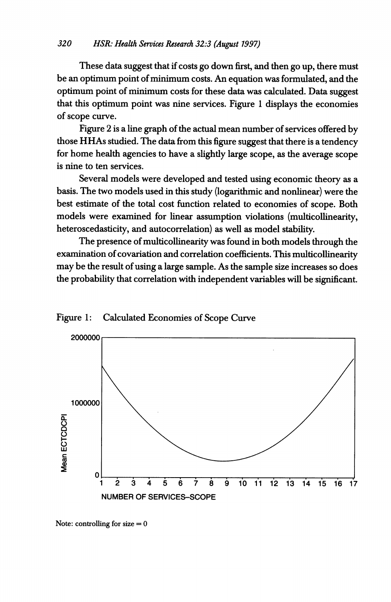These data suggest that if costs go down first, and then go up, there must be an optimum point of minimum costs. An equation was formulated, and the optimum point of minimum costs for these data was calculated. Data suggest that this optimum point was nine services. Figure <sup>1</sup> displays the economies of scope curve.

Figure 2 is a line graph of the actual mean number of services offered by those HHAs studied. The data from this figure suggest that there is <sup>a</sup> tendency for home health agencies to have a slightly large scope, as the average scope is nine to ten services.

Several models were developed and tested using economic theory as a basis. The two models used in this study (logarithmic and nonlinear) were the best estimate of the total cost function related to economies of scope. Both models were examined for linear assumption violations (multicollinearity, heteroscedasticity, and autocorrelation) as well as model stability.

The presence of multicollinearity was found in both models through the examination of covariation and correlation coefficients. This multicollinearity may be the result of using a large sample. As the sample size increases so does the probability that correlation with independent variables will be significant.





Note: controlling for  $size = 0$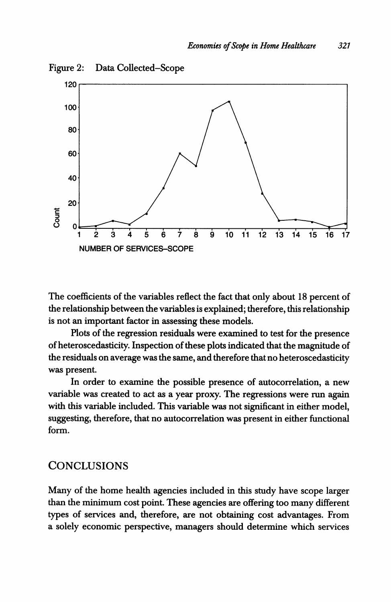

Data Collected-Scope Figure 2:

The coefficients of the variables reflect the fact that only about 18 percent of the relationship between the variables is explained; therefore, this relationship is not an important factor in assessing these models.

Plots of the regression residuals were examined to test for the presence of heteroscedasticity. Inspection of these plots indicated that the magnitude of the residuals on average was the same, and therefore that no heteroscedasticity was present.

In order to examine the possible presence of autocorrelation, a new variable was created to act as a year proxy. The regressions were run again with this variable included. This variable was not significant in either model, suggesting, therefore, that no autocorrelation was present in either functional form.

# **CONCLUSIONS**

Many of the home health agencies included in this study have scope larger than the minimum cost point. These agencies are offering too many different types of services and, therefore, are not obtaining cost advantages. From a solely economic perspective, managers should determine which services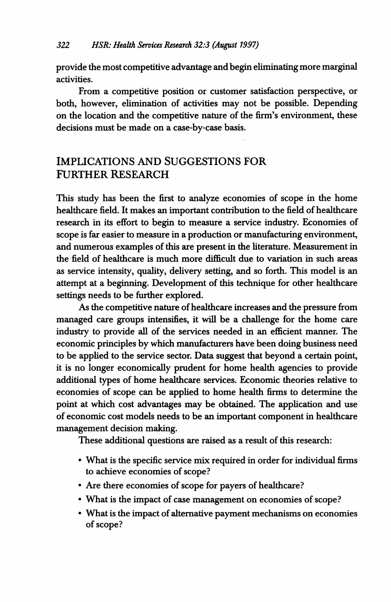provide the most competitive advantage and begin eliminating more marginal activities.

From a competitive position or customer satisfaction perspective, or both, however, elimination of activities may not be possible. Depending on the location and the competitive nature of the firm's environment, these decisions must be made on a case-by-case basis.

# IMPLICATIONS AND SUGGESTIONS FOR FURTHER RESEARCH

This study has been the first to analyze economies of scope in the home healthcare field. It makes an important contribution to the field of healthcare research in its effort to begin to measure a service industry. Economies of scope is far easier to measure in a production or manufacturing environment, and numerous examples of this are present in the literature. Measurement in the field of healthcare is much more difficult due to variation in such areas as service intensity, quality, delivery setting, and so forth. This model is an attempt at a beginning. Development of this technique for other healthcare settings needs to be further explored.

As the competitive nature of healthcare increases and the pressure from managed care groups intensifies, it will be a challenge for the home care industry to provide all of the services needed in an efficient manner. The economic principles by which manufacturers have been doing business need to be applied to the service sector. Data suggest that beyond a certain point, it is no longer economically prudent for home health agencies to provide additional types of home healthcare services. Economic theories relative to economies of scope can be applied to home health firms to determine the point at which cost advantages may be obtained. The application and use of economic cost models needs to be an important component in healthcare management decision making.

These additional questions are raised as a result of this research:

- \* What is the specific service mix required in order for individual firms to achieve economies of scope?
- \* Are there economies of scope for payers of healthcare?
- \* What is the impact of case management on economies of scope?
- \* What is the impact of alternative payment mechanisms on economies of scope?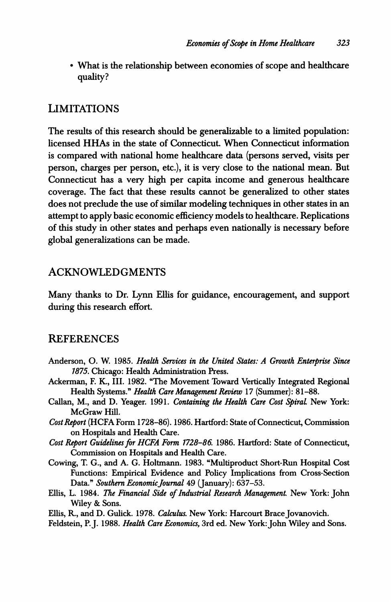• What is the relationship between economies of scope and healthcare quality?

# LIMITATIONS

The results of this research should be generalizable to a limited population: licensed HHAs in the state of Connecticut. When Connecticut information is compared with national home healthcare data (persons served, visits per person, charges per person, etc.), it is very close to the national mean. But Connecticut has a very high per capita income and generous healthcare coverage. The fact that these results cannot be generalized to other states does not preclude the use of similar modeling techniques in other states in an attempt to apply basic economic efficiency models to healthcare. Replications of this study in other states and perhaps even nationally is necessary before global generalizations can be made.

# ACKNOWLEDGMENTS

Many thanks to Dr. Lynn Ellis for guidance, encouragement, and support during this research effort.

# REFERENCES

- Anderson, O. W. 1985. Health Services in the United States: A Growth Enterprise Since 1875. Chicago: Health Administration Press.
- Ackerman, F. K, III. 1982. "The Movement Toward Vertically Integrated Regional Health Systems." Health Care Management Review 17 (Summer): 81-88.
- Callan, M., and D. Yeager. 1991. Containing the Health Care Cost SpiraL New York: McGraw Hill.
- Cost Report (HCFA Form 1728-86). 1986. Hartford: State of Connecticut, Commission on Hospitals and Health Care.
- Cost Report Guidelines for HCFA Form 1728-86. 1986. Hartford: State of Connecticut, Commission on Hospitals and Health Care.
- Cowing, T. G., and A. G. Holtmann. 1983. "Multiproduct Short-Run Hospital Cost Functions: Empirical Evidence and Policy Implications from Cross-Section Data." Southern Economic Journal 49 (January): 637-53.
- Ellis, L. 1984. The Financial Side of Industrial Research Management. New York: John Wiley & Sons.

Ellis, R., and D. Gulick. 1978. Calculus. New York: Harcourt Brace Jovanovich.

Feldstein, P. J. 1988. Health Care Economics, 3rd ed. New York: John Wiley and Sons.